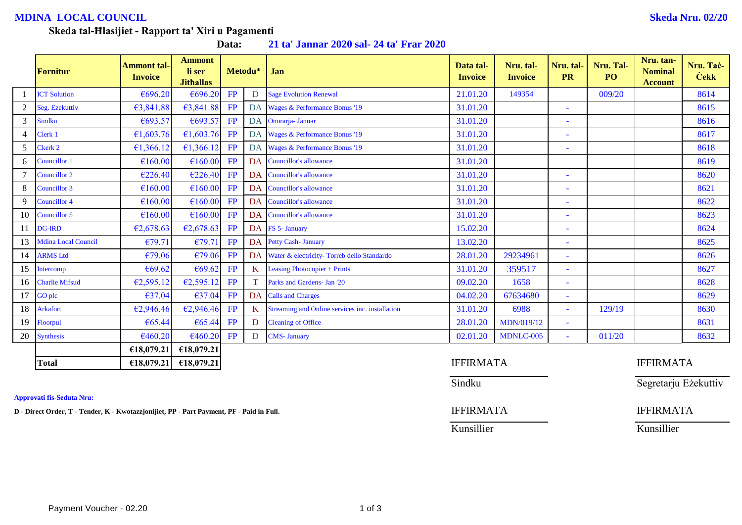# **MDINA LOCAL COUNCIL Skeda Nru. 02/20**

## **Skeda tal-Ħlasijiet - Rapport ta' Xiri u Pagamenti**

**Data: 21 ta' Jannar 2020 sal- 24 ta' Frar 2020**

|    | Fornitur                   | <b>Ammont tal-</b><br><b>Invoice</b> | <b>Ammont</b><br>li ser<br><b>Jithallas</b> |    | Metodu*   | Jan                                             | Data tal-<br><b>Invoice</b> | Nru. tal-<br><b>Invoice</b> | Nru. tal-<br><b>PR</b>   | Nru. Tal-<br>PO <sub>1</sub> | Nru. tan-<br><b>Nominal</b><br><b>Account</b> | Nru. Tac-<br><b>Cekk</b> |
|----|----------------------------|--------------------------------------|---------------------------------------------|----|-----------|-------------------------------------------------|-----------------------------|-----------------------------|--------------------------|------------------------------|-----------------------------------------------|--------------------------|
|    | <b>ICT Solution</b>        | €696.20                              | €696.20                                     | FP | D         | <b>Sage Evolution Renewal</b>                   | 21.01.20                    | 149354                      |                          | 009/20                       |                                               | 8614                     |
|    | Seg. Ezekuttiv             | €3,841.88                            | €3,841.88                                   | FP | <b>DA</b> | Wages & Performance Bonus '19                   | 31.01.20                    |                             | $\overline{\phantom{a}}$ |                              |                                               | 8615                     |
| 3  | <b>Sindku</b>              | €693.57                              | €693.57                                     | FP | DA        | Onorarja- Jannar                                | 31.01.20                    |                             |                          |                              |                                               | 8616                     |
|    | Clerk 1                    | €1,603.76                            | €1,603.76                                   | FP |           | DA Wages & Performance Bonus '19                | 31.01.20                    |                             |                          |                              |                                               | 8617                     |
|    | Ckerk 2                    | €1,366.12                            | €1,366.12                                   | FP | DA        | Wages & Performance Bonus '19                   | 31.01.20                    |                             |                          |                              |                                               | 8618                     |
| 6  | Councillor 1               | €160.00                              | €160.00                                     | FP | <b>DA</b> | <b>Councillor's allowance</b>                   | 31.01.20                    |                             |                          |                              |                                               | 8619                     |
|    | Councillor 2               | €226.40                              | €226.40                                     | FP | DA        | <b>Councillor's allowance</b>                   | 31.01.20                    |                             | $\equiv$                 |                              |                                               | 8620                     |
| 8  | Councillor 3               | €160.00                              | €160.00                                     | FP | DA        | <b>Councillor's allowance</b>                   | 31.01.20                    |                             |                          |                              |                                               | 8621                     |
|    | Councillor 4               | €160.00                              | €160.00                                     | FP |           | DA Councillor's allowance                       | 31.01.20                    |                             |                          |                              |                                               | 8622                     |
| 10 | Councillor 5               | €160.00                              | €160.00                                     | FP | <b>DA</b> | <b>Councillor's allowance</b>                   | 31.01.20                    |                             |                          |                              |                                               | 8623                     |
| 11 | <b>DG-IRD</b>              | €2,678.63                            | E2,678.63                                   | FP | <b>DA</b> | FS 5- January                                   | 15.02.20                    |                             | $\equiv$                 |                              |                                               | 8624                     |
| 13 | <b>Mdina Local Council</b> | €79.71                               | €79.71                                      | FP | <b>DA</b> | <b>Petty Cash-January</b>                       | 13.02.20                    |                             |                          |                              |                                               | 8625                     |
|    | 14 ARMS Ltd                | €79.06                               | €79.06                                      | FP | DA        | Water & electricity- Torreb dello Standardo     | 28.01.20                    | 29234961                    | $\equiv$                 |                              |                                               | 8626                     |
| 15 | Intercomp                  | €69.62                               | €69.62                                      | FP | K         | <b>Leasing Photocopier + Prints</b>             | 31.01.20                    | 359517                      | $\sim$                   |                              |                                               | 8627                     |
| 16 | <b>Charlie Mifsud</b>      | €2,595.12                            | E2,595.12                                   | FP |           | Parks and Gardens- Jan '20                      | 09.02.20                    | 1658                        | $\sim$                   |                              |                                               | 8628                     |
| 17 | GO plc                     | €37.04                               | €37.04                                      | FP | DA        | <b>Calls and Charges</b>                        | 04.02.20                    | 67634680                    | $\sim$                   |                              |                                               | 8629                     |
| 18 | <b>Arkafort</b>            | €2,946.46                            | E2,946.46                                   | FP | K         | Streaming and Online services inc. installation | 31.01.20                    | 6988                        | $\sim$                   | 129/19                       |                                               | 8630                     |
| 19 | Floorpul                   | €65.44                               | €65.44                                      | FP | D         | <b>Cleaning of Office</b>                       | 28.01.20                    | MDN/019/12                  | $\overline{\phantom{a}}$ |                              |                                               | 8631                     |
| 20 | <b>Synthesis</b>           | €460.20                              | €460.20                                     | FP | D         | <b>CMS- January</b>                             | 02.01.20                    | MDNLC-005                   | $\sim$                   | 011/20                       |                                               | 8632                     |
|    |                            | €18,079.21                           | €18,079.21                                  |    |           |                                                 |                             |                             |                          |                              |                                               |                          |
|    | <b>Total</b>               | £18,079.21                           | £18,079.21                                  |    |           |                                                 | <b>IFFIRMATA</b>            |                             |                          |                              | <b>IFFIRMATA</b>                              |                          |

### **Approvati fis-Seduta Nru:**

**D** - Direct Order, T - Tender, K - Kwotazzjonijiet, PP - Part Payment, PF - Paid in Full. **IFFIRMATA** IFFIRMATA

### Sindku Segretarju Eżekuttiv

Kunsillier Kunsillier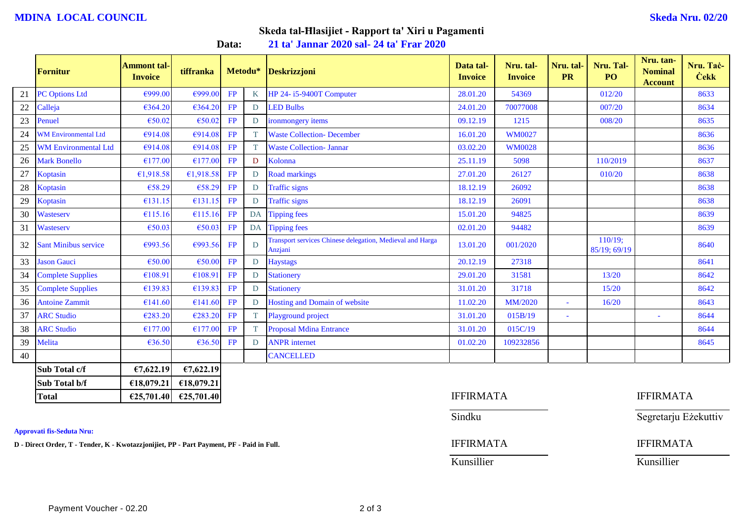# **MDINA LOCAL COUNCIL Skeda Nru. 02/20**

# **Skeda tal-Ħlasijiet - Rapport ta' Xiri u Pagamenti**

**Data: 21 ta' Jannar 2020 sal- 24 ta' Frar 2020**

|    | <b>Fornitur</b>             | <b>Ammont tal-</b><br><b>Invoice</b> | tiffranka                                 |    | Metodu*      | Deskrizzjoni                                                                | Data tal-<br><b>Invoice</b> | Nru. tal-<br><b>Invoice</b> | Nru. tal-<br><b>PR</b> | Nru. Tal-<br>P <sub>O</sub> | Nru. tan-<br><b>Nominal</b><br><b>Account</b> | Nru. Tač-<br><b>Cekk</b> |
|----|-----------------------------|--------------------------------------|-------------------------------------------|----|--------------|-----------------------------------------------------------------------------|-----------------------------|-----------------------------|------------------------|-----------------------------|-----------------------------------------------|--------------------------|
| 21 | <b>PC Options Ltd</b>       | €999.00                              | €999.00                                   | FP | K            | HP 24-i5-9400T Computer                                                     | 28.01.20                    | 54369                       |                        | 012/20                      |                                               | 8633                     |
| 22 | Calleja                     | €364.20                              | €364.20                                   | FP | D            | <b>LED Bulbs</b>                                                            | 24.01.20                    | 70077008                    |                        | 007/20                      |                                               | 8634                     |
| 23 | Penuel                      | €50.02                               | €50.02                                    | FP | D            | ironmongery items                                                           | 09.12.19                    | 1215                        |                        | 008/20                      |                                               | 8635                     |
| 24 | <b>WM Environmental Ltd</b> | €914.08                              | €914.08                                   | FP | T.           | <b>Waste Collection- December</b>                                           | 16.01.20                    | <b>WM0027</b>               |                        |                             |                                               | 8636                     |
| 25 | <b>WM Environmental Ltd</b> | €914.08                              | €914.08                                   | FP | T.           | <b>Waste Collection- Jannar</b>                                             | 03.02.20                    | <b>WM0028</b>               |                        |                             |                                               | 8636                     |
| 26 | <b>Mark Bonello</b>         | €177.00                              | €177.00                                   | FP | D            | Kolonna                                                                     | 25.11.19                    | 5098                        |                        | 110/2019                    |                                               | 8637                     |
| 27 | Koptasin                    | €1,918.58                            | €1,918.58                                 | FP | D            | <b>Road markings</b>                                                        | 27.01.20                    | 26127                       |                        | 010/20                      |                                               | 8638                     |
| 28 | Koptasin                    | €58.29                               | €58.29                                    | FP | D            | <b>Traffic signs</b>                                                        | 18.12.19                    | 26092                       |                        |                             |                                               | 8638                     |
| 29 | Koptasin                    | €131.15                              | €131.15                                   | FP | D            | <b>Traffic signs</b>                                                        | 18.12.19                    | 26091                       |                        |                             |                                               | 8638                     |
| 30 | Wasteserv                   | €115.16                              | €115.16                                   | FP | DA           | <b>Tipping fees</b>                                                         | 15.01.20                    | 94825                       |                        |                             |                                               | 8639                     |
| 31 | Wasteserv                   | €50.03                               | €50.03                                    | FP | DA           | <b>Tipping fees</b>                                                         | 02.01.20                    | 94482                       |                        |                             |                                               | 8639                     |
| 32 | <b>Sant Minibus service</b> | €993.56                              | €993.56                                   | FP | D            | <b>Transport services Chinese delegation, Medieval and Harga</b><br>Anzjani | 13.01.20                    | 001/2020                    |                        | 110/19;<br>85/19; 69/19     |                                               | 8640                     |
| 33 | <b>Jason Gauci</b>          | €50.00                               | €50.00                                    | FP | D            | <b>Haystags</b>                                                             | 20.12.19                    | 27318                       |                        |                             |                                               | 8641                     |
| 34 | <b>Complete Supplies</b>    | €108.91                              | €108.91                                   | FP | D            | <b>Stationery</b>                                                           | 29.01.20                    | 31581                       |                        | 13/20                       |                                               | 8642                     |
| 35 | <b>Complete Supplies</b>    | €139.83                              | €139.83                                   | FP | D            | <b>Stationery</b>                                                           | 31.01.20                    | 31718                       |                        | 15/20                       |                                               | 8642                     |
| 36 | <b>Antoine Zammit</b>       | €141.60                              | €141.60                                   | FP | D            | Hosting and Domain of website                                               | 11.02.20                    | MM/2020                     | $\blacksquare$         | 16/20                       |                                               | 8643                     |
| 37 | <b>ARC Studio</b>           | €283.20                              | €283.20                                   | FP | <sup>T</sup> | Playground project                                                          | 31.01.20                    | 015B/19                     | ÷.                     |                             |                                               | 8644                     |
| 38 | <b>ARC Studio</b>           | €177.00                              | €177.00                                   | FP | T.           | <b>Proposal Mdina Entrance</b>                                              | 31.01.20                    | 015C/19                     |                        |                             |                                               | 8644                     |
| 39 | Melita                      | €36.50                               | €36.50                                    | FP | D            | <b>ANPR</b> internet                                                        | 01.02.20                    | 109232856                   |                        |                             |                                               | 8645                     |
| 40 |                             |                                      |                                           |    |              | <b>CANCELLED</b>                                                            |                             |                             |                        |                             |                                               |                          |
|    | Sub Total c/f               | €7,622.19                            | €7,622.19                                 |    |              |                                                                             |                             |                             |                        |                             |                                               |                          |
|    | Sub Total b/f               | €18,079.21                           | €18,079.21                                |    |              |                                                                             |                             |                             |                        |                             |                                               |                          |
|    | <b>Total</b>                |                                      | $\epsilon$ 25,701.40 $\epsilon$ 25,701.40 |    |              |                                                                             | <b>IFFIRMATA</b>            |                             |                        |                             | <b>IFFIRMATA</b>                              |                          |

**Approvati fis-Seduta Nru:**

**D** - Direct Order, T - Tender, K - Kwotazzjonijiet, PP - Part Payment, PF - Paid in Full. **IFFIRMATA** IFFIRMATA

Sindku Segretarju Eżekuttiv

Kunsillier Kunsillier